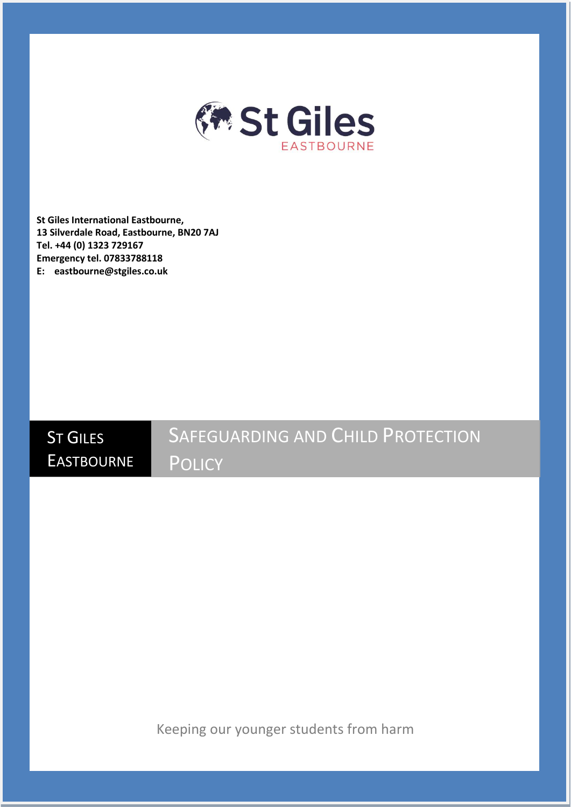

**St Giles International Eastbourne, 13 Silverdale Road, Eastbourne, BN20 7AJ Tel. +44 (0) 1323 729167 Emergency tel. 07833788118 E: eastbourne@stgiles.co.uk**

**ST GILES EASTBOURNE** SAFEGUARDING AND CHILD PROTECTION **POLICY** 

Keeping our younger students from harm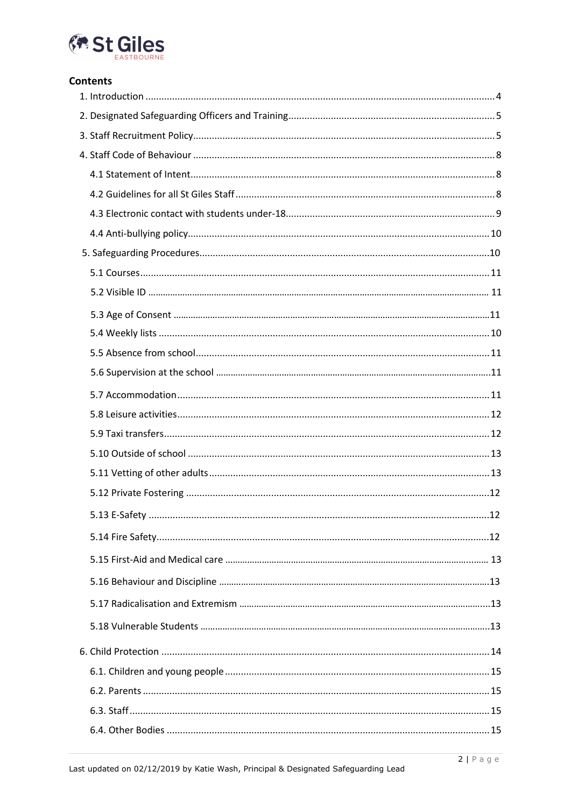

## **Contents**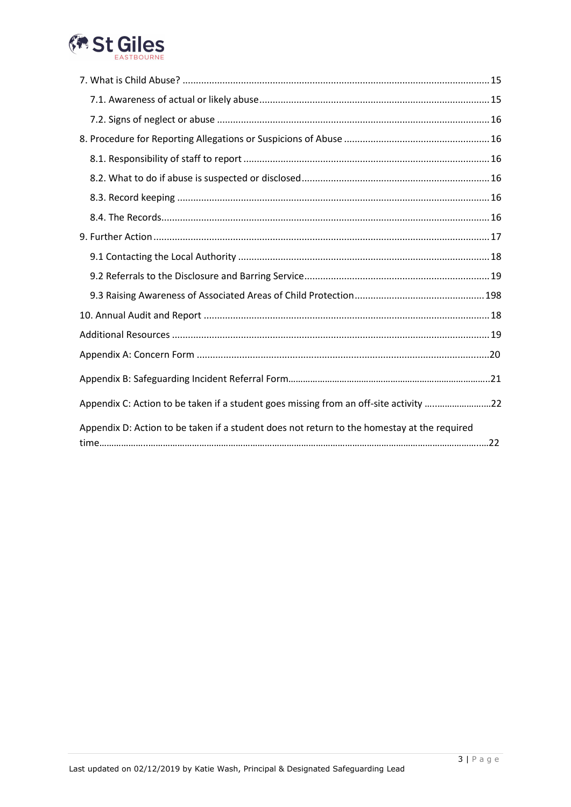

| Appendix C: Action to be taken if a student goes missing from an off-site activity 22       |  |
|---------------------------------------------------------------------------------------------|--|
| Appendix D: Action to be taken if a student does not return to the homestay at the required |  |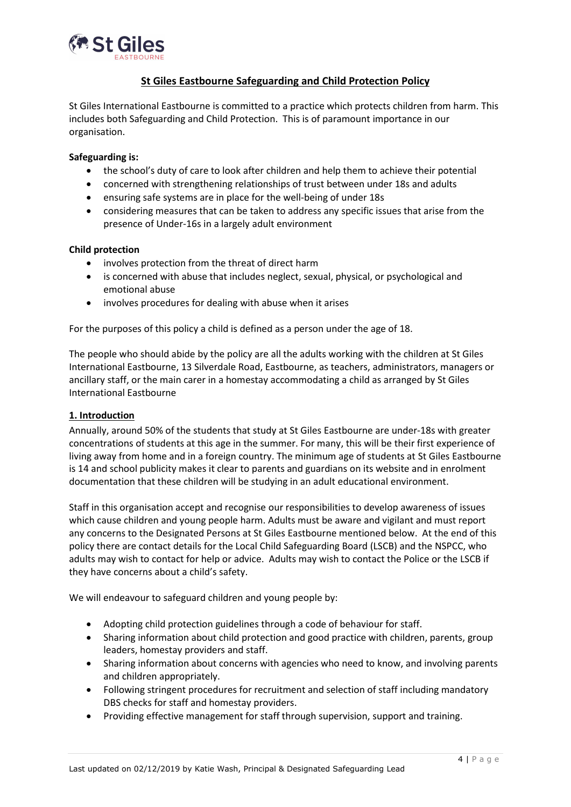

# **St Giles Eastbourne Safeguarding and Child Protection Policy**

St Giles International Eastbourne is committed to a practice which protects children from harm. This includes both Safeguarding and Child Protection. This is of paramount importance in our organisation.

#### **Safeguarding is:**

- the school's duty of care to look after children and help them to achieve their potential
- concerned with strengthening relationships of trust between under 18s and adults
- ensuring safe systems are in place for the well-being of under 18s
- considering measures that can be taken to address any specific issues that arise from the presence of Under-16s in a largely adult environment

#### **Child protection**

- involves protection from the threat of direct harm
- is concerned with abuse that includes neglect, sexual, physical, or psychological and emotional abuse
- involves procedures for dealing with abuse when it arises

For the purposes of this policy a child is defined as a person under the age of 18.

The people who should abide by the policy are all the adults working with the children at St Giles International Eastbourne, 13 Silverdale Road, Eastbourne, as teachers, administrators, managers or ancillary staff, or the main carer in a homestay accommodating a child as arranged by St Giles International Eastbourne

#### <span id="page-3-0"></span>**1. Introduction**

Annually, around 50% of the students that study at St Giles Eastbourne are under-18s with greater concentrations of students at this age in the summer. For many, this will be their first experience of living away from home and in a foreign country. The minimum age of students at St Giles Eastbourne is 14 and school publicity makes it clear to parents and guardians on its website and in enrolment documentation that these children will be studying in an adult educational environment.

Staff in this organisation accept and recognise our responsibilities to develop awareness of issues which cause children and young people harm. Adults must be aware and vigilant and must report any concerns to the Designated Persons at St Giles Eastbourne mentioned below. At the end of this policy there are contact details for the Local Child Safeguarding Board (LSCB) and the NSPCC, who adults may wish to contact for help or advice. Adults may wish to contact the Police or the LSCB if they have concerns about a child's safety.

We will endeavour to safeguard children and young people by:

- Adopting child protection guidelines through a code of behaviour for staff.
- Sharing information about child protection and good practice with children, parents, group leaders, homestay providers and staff.
- Sharing information about concerns with agencies who need to know, and involving parents and children appropriately.
- Following stringent procedures for recruitment and selection of staff including mandatory DBS checks for staff and homestay providers.
- Providing effective management for staff through supervision, support and training.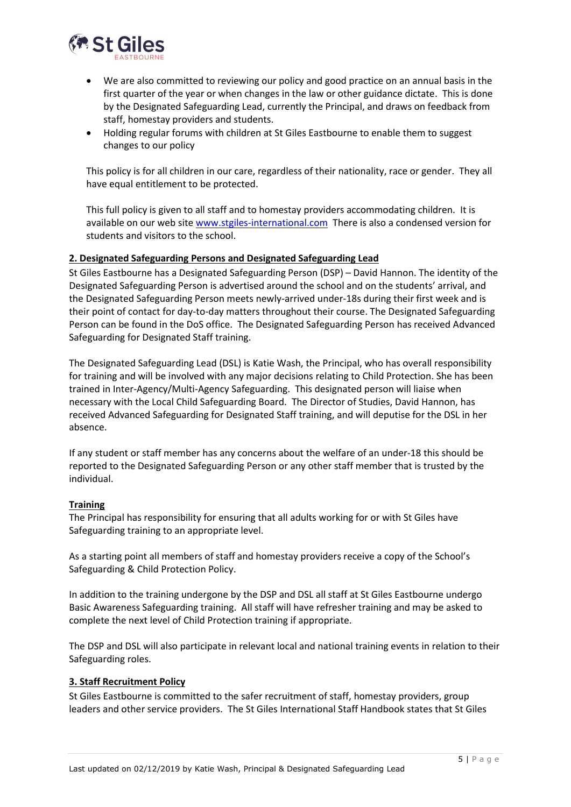

- We are also committed to reviewing our policy and good practice on an annual basis in the first quarter of the year or when changes in the law or other guidance dictate. This is done by the Designated Safeguarding Lead, currently the Principal, and draws on feedback from staff, homestay providers and students.
- Holding regular forums with children at St Giles Eastbourne to enable them to suggest changes to our policy

This policy is for all children in our care, regardless of their nationality, race or gender. They all have equal entitlement to be protected.

This full policy is given to all staff and to homestay providers accommodating children. It is available on our web site [www.stgiles-international.com](file:///C:/Users/kirstine.bowen.STG.000/AppData/Local/Microsoft/Windows/Temporary%20Internet%20Files/Content.Outlook/SCBQ8YN8/www.stgiles-international.com) There is also a condensed version for students and visitors to the school.

#### <span id="page-4-0"></span>**2. Designated Safeguarding Persons and Designated Safeguarding Lead**

St Giles Eastbourne has a Designated Safeguarding Person (DSP) – David Hannon. The identity of the Designated Safeguarding Person is advertised around the school and on the students' arrival, and the Designated Safeguarding Person meets newly-arrived under-18s during their first week and is their point of contact for day-to-day matters throughout their course. The Designated Safeguarding Person can be found in the DoS office. The Designated Safeguarding Person has received Advanced Safeguarding for Designated Staff training.

The Designated Safeguarding Lead (DSL) is Katie Wash, the Principal, who has overall responsibility for training and will be involved with any major decisions relating to Child Protection. She has been trained in Inter-Agency/Multi-Agency Safeguarding. This designated person will liaise when necessary with the Local Child Safeguarding Board. The Director of Studies, David Hannon, has received Advanced Safeguarding for Designated Staff training, and will deputise for the DSL in her absence.

If any student or staff member has any concerns about the welfare of an under-18 this should be reported to the Designated Safeguarding Person or any other staff member that is trusted by the individual.

#### **Training**

The Principal has responsibility for ensuring that all adults working for or with St Giles have Safeguarding training to an appropriate level.

As a starting point all members of staff and homestay providers receive a copy of the School's Safeguarding & Child Protection Policy.

In addition to the training undergone by the DSP and DSL all staff at St Giles Eastbourne undergo Basic Awareness Safeguarding training. All staff will have refresher training and may be asked to complete the next level of Child Protection training if appropriate.

The DSP and DSL will also participate in relevant local and national training events in relation to their Safeguarding roles.

#### <span id="page-4-1"></span>**3. Staff Recruitment Policy**

St Giles Eastbourne is committed to the safer recruitment of staff, homestay providers, group leaders and other service providers. The St Giles International Staff Handbook states that St Giles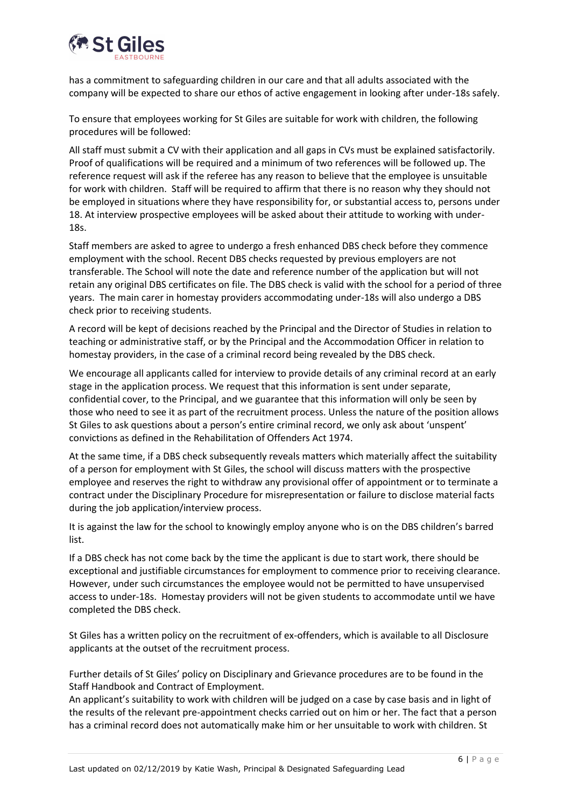

has a commitment to safeguarding children in our care and that all adults associated with the company will be expected to share our ethos of active engagement in looking after under-18s safely.

To ensure that employees working for St Giles are suitable for work with children, the following procedures will be followed:

All staff must submit a CV with their application and all gaps in CVs must be explained satisfactorily. Proof of qualifications will be required and a minimum of two references will be followed up. The reference request will ask if the referee has any reason to believe that the employee is unsuitable for work with children. Staff will be required to affirm that there is no reason why they should not be employed in situations where they have responsibility for, or substantial access to, persons under 18. At interview prospective employees will be asked about their attitude to working with under-18s.

Staff members are asked to agree to undergo a fresh enhanced DBS check before they commence employment with the school. Recent DBS checks requested by previous employers are not transferable. The School will note the date and reference number of the application but will not retain any original DBS certificates on file. The DBS check is valid with the school for a period of three years. The main carer in homestay providers accommodating under-18s will also undergo a DBS check prior to receiving students.

A record will be kept of decisions reached by the Principal and the Director of Studies in relation to teaching or administrative staff, or by the Principal and the Accommodation Officer in relation to homestay providers, in the case of a criminal record being revealed by the DBS check.

We encourage all applicants called for interview to provide details of any criminal record at an early stage in the application process. We request that this information is sent under separate, confidential cover, to the Principal, and we guarantee that this information will only be seen by those who need to see it as part of the recruitment process. Unless the nature of the position allows St Giles to ask questions about a person's entire criminal record, we only ask about 'unspent' convictions as defined in the Rehabilitation of Offenders Act 1974.

At the same time, if a DBS check subsequently reveals matters which materially affect the suitability of a person for employment with St Giles, the school will discuss matters with the prospective employee and reserves the right to withdraw any provisional offer of appointment or to terminate a contract under the Disciplinary Procedure for misrepresentation or failure to disclose material facts during the job application/interview process.

It is against the law for the school to knowingly employ anyone who is on the DBS children's barred list.

If a DBS check has not come back by the time the applicant is due to start work, there should be exceptional and justifiable circumstances for employment to commence prior to receiving clearance. However, under such circumstances the employee would not be permitted to have unsupervised access to under-18s. Homestay providers will not be given students to accommodate until we have completed the DBS check.

St Giles has a written policy on the recruitment of ex-offenders, which is available to all Disclosure applicants at the outset of the recruitment process.

Further details of St Giles' policy on Disciplinary and Grievance procedures are to be found in the Staff Handbook and Contract of Employment.

An applicant's suitability to work with children will be judged on a case by case basis and in light of the results of the relevant pre-appointment checks carried out on him or her. The fact that a person has a criminal record does not automatically make him or her unsuitable to work with children. St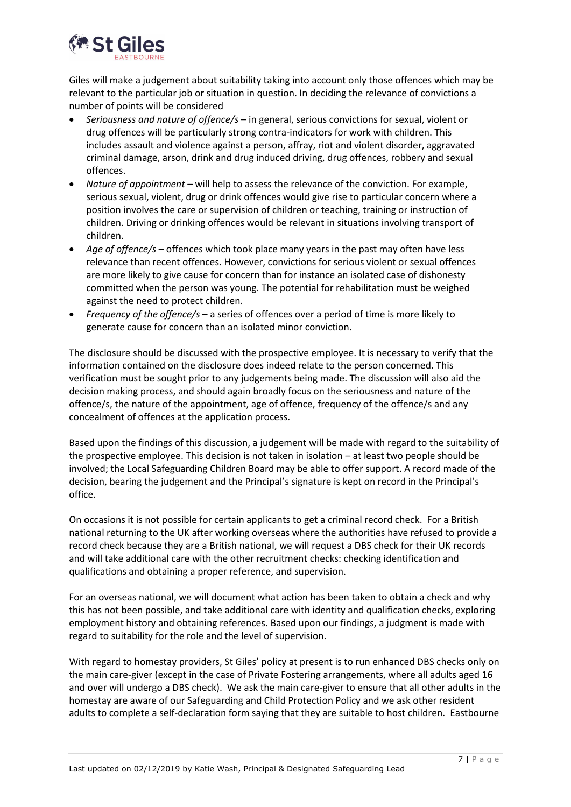

Giles will make a judgement about suitability taking into account only those offences which may be relevant to the particular job or situation in question. In deciding the relevance of convictions a number of points will be considered

- *Seriousness and nature of offence/s* in general, serious convictions for sexual, violent or drug offences will be particularly strong contra-indicators for work with children. This includes assault and violence against a person, affray, riot and violent disorder, aggravated criminal damage, arson, drink and drug induced driving, drug offences, robbery and sexual offences.
- *Nature of appointment* will help to assess the relevance of the conviction. For example, serious sexual, violent, drug or drink offences would give rise to particular concern where a position involves the care or supervision of children or teaching, training or instruction of children. Driving or drinking offences would be relevant in situations involving transport of children.
- *Age of offence/s* offences which took place many years in the past may often have less relevance than recent offences. However, convictions for serious violent or sexual offences are more likely to give cause for concern than for instance an isolated case of dishonesty committed when the person was young. The potential for rehabilitation must be weighed against the need to protect children.
- *Frequency of the offence/s* a series of offences over a period of time is more likely to generate cause for concern than an isolated minor conviction.

The disclosure should be discussed with the prospective employee. It is necessary to verify that the information contained on the disclosure does indeed relate to the person concerned. This verification must be sought prior to any judgements being made. The discussion will also aid the decision making process, and should again broadly focus on the seriousness and nature of the offence/s, the nature of the appointment, age of offence, frequency of the offence/s and any concealment of offences at the application process.

Based upon the findings of this discussion, a judgement will be made with regard to the suitability of the prospective employee. This decision is not taken in isolation – at least two people should be involved; the Local Safeguarding Children Board may be able to offer support. A record made of the decision, bearing the judgement and the Principal's signature is kept on record in the Principal's office.

On occasions it is not possible for certain applicants to get a criminal record check. For a British national returning to the UK after working overseas where the authorities have refused to provide a record check because they are a British national, we will request a DBS check for their UK records and will take additional care with the other recruitment checks: checking identification and qualifications and obtaining a proper reference, and supervision.

For an overseas national, we will document what action has been taken to obtain a check and why this has not been possible, and take additional care with identity and qualification checks, exploring employment history and obtaining references. Based upon our findings, a judgment is made with regard to suitability for the role and the level of supervision.

With regard to homestay providers, St Giles' policy at present is to run enhanced DBS checks only on the main care-giver (except in the case of Private Fostering arrangements, where all adults aged 16 and over will undergo a DBS check). We ask the main care-giver to ensure that all other adults in the homestay are aware of our Safeguarding and Child Protection Policy and we ask other resident adults to complete a self-declaration form saying that they are suitable to host children. Eastbourne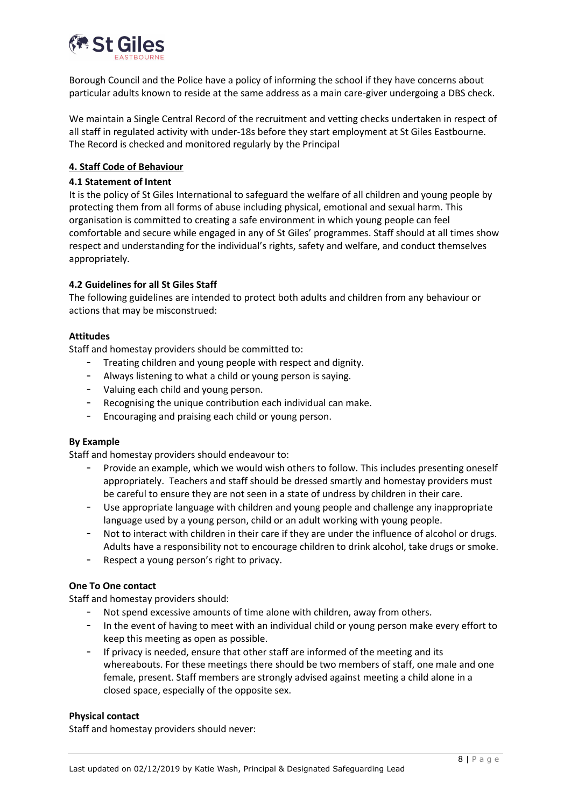

Borough Council and the Police have a policy of informing the school if they have concerns about particular adults known to reside at the same address as a main care-giver undergoing a DBS check.

We maintain a Single Central Record of the recruitment and vetting checks undertaken in respect of all staff in regulated activity with under-18s before they start employment at St Giles Eastbourne. The Record is checked and monitored regularly by the Principal

#### <span id="page-7-0"></span>**4. Staff Code of Behaviour**

#### <span id="page-7-1"></span>**4.1 Statement of Intent**

It is the policy of St Giles International to safeguard the welfare of all children and young people by protecting them from all forms of abuse including physical, emotional and sexual harm. This organisation is committed to creating a safe environment in which young people can feel comfortable and secure while engaged in any of St Giles' programmes. Staff should at all times show respect and understanding for the individual's rights, safety and welfare, and conduct themselves appropriately.

#### <span id="page-7-2"></span>**4.2 Guidelines for all St Giles Staff**

The following guidelines are intended to protect both adults and children from any behaviour or actions that may be misconstrued:

#### **Attitudes**

Staff and homestay providers should be committed to:

- Treating children and young people with respect and dignity.
- Always listening to what a child or young person is saying.
- Valuing each child and young person.
- Recognising the unique contribution each individual can make.
- Encouraging and praising each child or young person.

#### **By Example**

Staff and homestay providers should endeavour to:

- Provide an example, which we would wish others to follow. This includes presenting oneself appropriately. Teachers and staff should be dressed smartly and homestay providers must be careful to ensure they are not seen in a state of undress by children in their care.
- Use appropriate language with children and young people and challenge any inappropriate language used by a young person, child or an adult working with young people.
- Not to interact with children in their care if they are under the influence of alcohol or drugs. Adults have a responsibility not to encourage children to drink alcohol, take drugs or smoke.
- Respect a young person's right to privacy.

#### **One To One contact**

Staff and homestay providers should:

- Not spend excessive amounts of time alone with children, away from others.
- In the event of having to meet with an individual child or young person make every effort to keep this meeting as open as possible.
- If privacy is needed, ensure that other staff are informed of the meeting and its whereabouts. For these meetings there should be two members of staff, one male and one female, present. Staff members are strongly advised against meeting a child alone in a closed space, especially of the opposite sex.

#### **Physical contact**

Staff and homestay providers should never: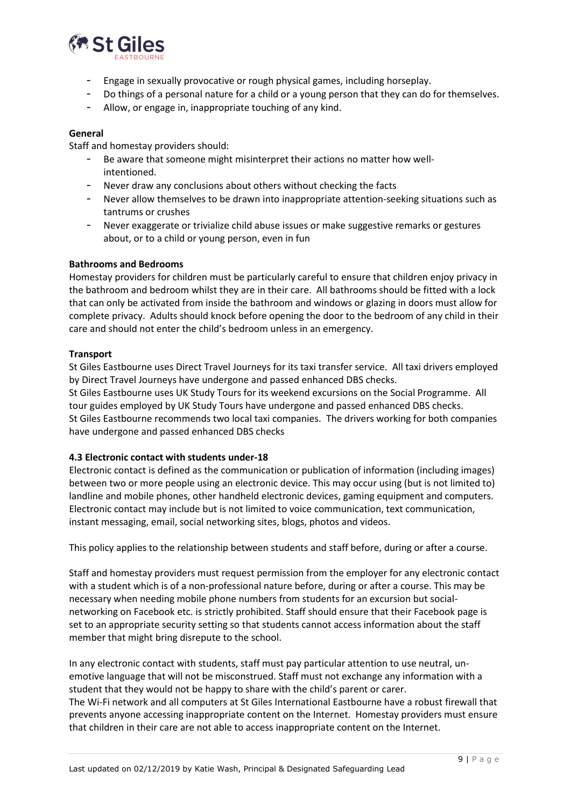

- Engage in sexually provocative or rough physical games, including horseplay.
- Do things of a personal nature for a child or a young person that they can do for themselves.
- Allow, or engage in, inappropriate touching of any kind.

#### **General**

Staff and homestay providers should:

- Be aware that someone might misinterpret their actions no matter how wellintentioned.
- Never draw any conclusions about others without checking the facts
- Never allow themselves to be drawn into inappropriate attention-seeking situations such as tantrums or crushes
- Never exaggerate or trivialize child abuse issues or make suggestive remarks or gestures about, or to a child or young person, even in fun

#### **Bathrooms and Bedrooms**

Homestay providers for children must be particularly careful to ensure that children enjoy privacy in the bathroom and bedroom whilst they are in their care. All bathrooms should be fitted with a lock that can only be activated from inside the bathroom and windows or glazing in doors must allow for complete privacy. Adults should knock before opening the door to the bedroom of any child in their care and should not enter the child's bedroom unless in an emergency.

#### **Transport**

St Giles Eastbourne uses Direct Travel Journeys for its taxi transfer service. All taxi drivers employed by Direct Travel Journeys have undergone and passed enhanced DBS checks.

St Giles Eastbourne uses UK Study Tours for its weekend excursions on the Social Programme. All tour guides employed by UK Study Tours have undergone and passed enhanced DBS checks. St Giles Eastbourne recommends two local taxi companies. The drivers working for both companies have undergone and passed enhanced DBS checks

#### <span id="page-8-0"></span>**4.3 Electronic contact with students under-18**

Electronic contact is defined as the communication or publication of information (including images) between two or more people using an electronic device. This may occur using (but is not limited to) landline and mobile phones, other handheld electronic devices, gaming equipment and computers. Electronic contact may include but is not limited to voice communication, text communication, instant messaging, email, social networking sites, blogs, photos and videos.

This policy applies to the relationship between students and staff before, during or after a course.

Staff and homestay providers must request permission from the employer for any electronic contact with a student which is of a non-professional nature before, during or after a course. This may be necessary when needing mobile phone numbers from students for an excursion but socialnetworking on Facebook etc. is strictly prohibited. Staff should ensure that their Facebook page is set to an appropriate security setting so that students cannot access information about the staff member that might bring disrepute to the school.

In any electronic contact with students, staff must pay particular attention to use neutral, unemotive language that will not be misconstrued. Staff must not exchange any information with a student that they would not be happy to share with the child's parent or carer. The Wi-Fi network and all computers at St Giles International Eastbourne have a robust firewall that prevents anyone accessing inappropriate content on the Internet. Homestay providers must ensure that children in their care are not able to access inappropriate content on the Internet.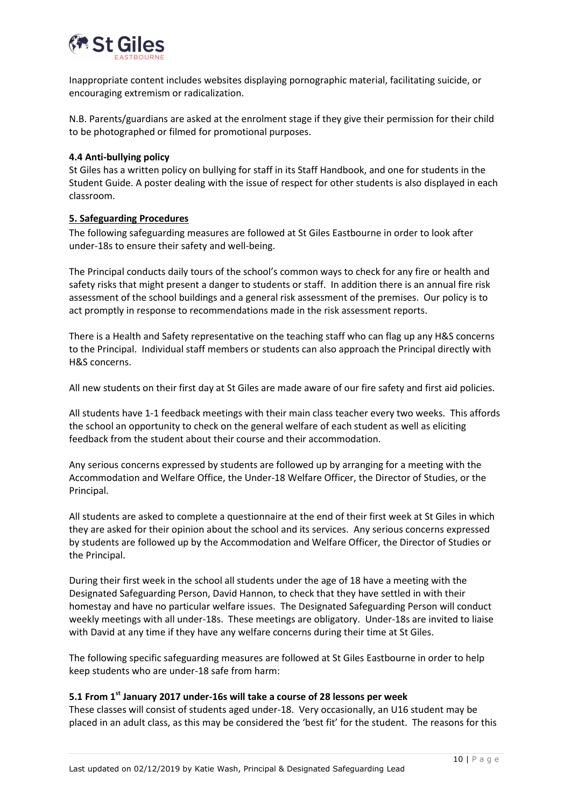

Inappropriate content includes websites displaying pornographic material, facilitating suicide, or encouraging extremism or radicalization.

N.B. Parents/guardians are asked at the enrolment stage if they give their permission for their child to be photographed or filmed for promotional purposes.

#### <span id="page-9-0"></span>**4.4 Anti-bullying policy**

St Giles has a written policy on bullying for staff in its Staff Handbook, and one for students in the Student Guide. A poster dealing with the issue of respect for other students is also displayed in each classroom.

#### <span id="page-9-1"></span>**5. Safeguarding Procedures**

The following safeguarding measures are followed at St Giles Eastbourne in order to look after under-18s to ensure their safety and well-being.

The Principal conducts daily tours of the school's common ways to check for any fire or health and safety risks that might present a danger to students or staff. In addition there is an annual fire risk assessment of the school buildings and a general risk assessment of the premises. Our policy is to act promptly in response to recommendations made in the risk assessment reports.

There is a Health and Safety representative on the teaching staff who can flag up any H&S concerns to the Principal. Individual staff members or students can also approach the Principal directly with H&S concerns.

All new students on their first day at St Giles are made aware of our fire safety and first aid policies.

All students have 1-1 feedback meetings with their main class teacher every two weeks. This affords the school an opportunity to check on the general welfare of each student as well as eliciting feedback from the student about their course and their accommodation.

Any serious concerns expressed by students are followed up by arranging for a meeting with the Accommodation and Welfare Office, the Under-18 Welfare Officer, the Director of Studies, or the Principal.

All students are asked to complete a questionnaire at the end of their first week at St Giles in which they are asked for their opinion about the school and its services. Any serious concerns expressed by students are followed up by the Accommodation and Welfare Officer, the Director of Studies or the Principal.

During their first week in the school all students under the age of 18 have a meeting with the Designated Safeguarding Person, David Hannon, to check that they have settled in with their homestay and have no particular welfare issues. The Designated Safeguarding Person will conduct weekly meetings with all under-18s. These meetings are obligatory. Under-18s are invited to liaise with David at any time if they have any welfare concerns during their time at St Giles.

The following specific safeguarding measures are followed at St Giles Eastbourne in order to help keep students who are under-18 safe from harm:

#### <span id="page-9-2"></span>**5.1 From 1st January 2017 under-16s will take a course of 28 lessons per week**

These classes will consist of students aged under-18. Very occasionally, an U16 student may be placed in an adult class, as this may be considered the 'best fit' for the student. The reasons for this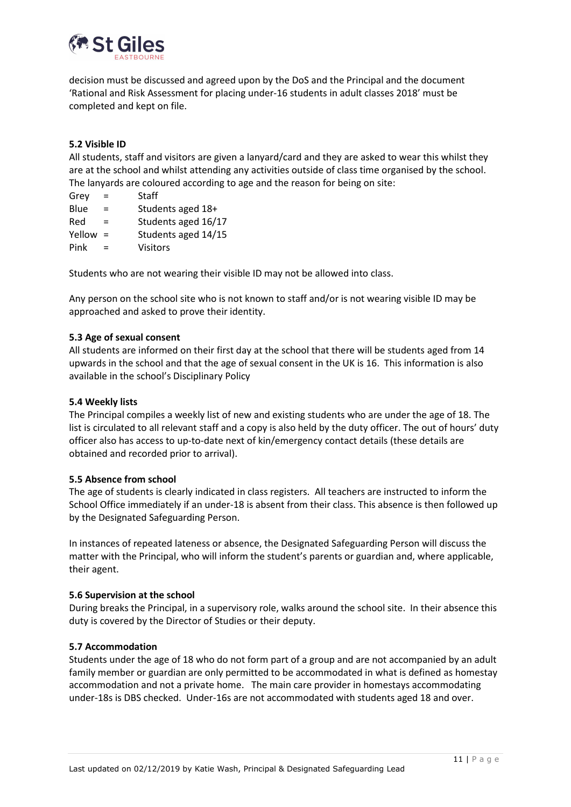

decision must be discussed and agreed upon by the DoS and the Principal and the document 'Rational and Risk Assessment for placing under-16 students in adult classes 2018' must be completed and kept on file.

#### **5.2 Visible ID**

All students, staff and visitors are given a lanyard/card and they are asked to wear this whilst they are at the school and whilst attending any activities outside of class time organised by the school. The lanyards are coloured according to age and the reason for being on site:

| Grey   | $=$ | Staff               |
|--------|-----|---------------------|
| Blue   | $=$ | Students aged 18+   |
| Red    | $=$ | Students aged 16/17 |
| Yellow | $=$ | Students aged 14/15 |
| Pink   |     | Visitors            |
|        |     |                     |

Students who are not wearing their visible ID may not be allowed into class.

Any person on the school site who is not known to staff and/or is not wearing visible ID may be approached and asked to prove their identity.

#### **5.3 Age of sexual consent**

All students are informed on their first day at the school that there will be students aged from 14 upwards in the school and that the age of sexual consent in the UK is 16. This information is also available in the school's Disciplinary Policy

#### **5.4 Weekly lists**

The Principal compiles a weekly list of new and existing students who are under the age of 18. The list is circulated to all relevant staff and a copy is also held by the duty officer. The out of hours' duty officer also has access to up-to-date next of kin/emergency contact details (these details are obtained and recorded prior to arrival).

#### <span id="page-10-0"></span>**5.5 Absence from school**

The age of students is clearly indicated in class registers. All teachers are instructed to inform the School Office immediately if an under-18 is absent from their class. This absence is then followed up by the Designated Safeguarding Person.

In instances of repeated lateness or absence, the Designated Safeguarding Person will discuss the matter with the Principal, who will inform the student's parents or guardian and, where applicable, their agent.

#### **5.6 Supervision at the school**

During breaks the Principal, in a supervisory role, walks around the school site. In their absence this duty is covered by the Director of Studies or their deputy.

#### <span id="page-10-1"></span>**5.7 Accommodation**

Students under the age of 18 who do not form part of a group and are not accompanied by an adult family member or guardian are only permitted to be accommodated in what is defined as homestay accommodation and not a private home. The main care provider in homestays accommodating under-18s is DBS checked. Under-16s are not accommodated with students aged 18 and over.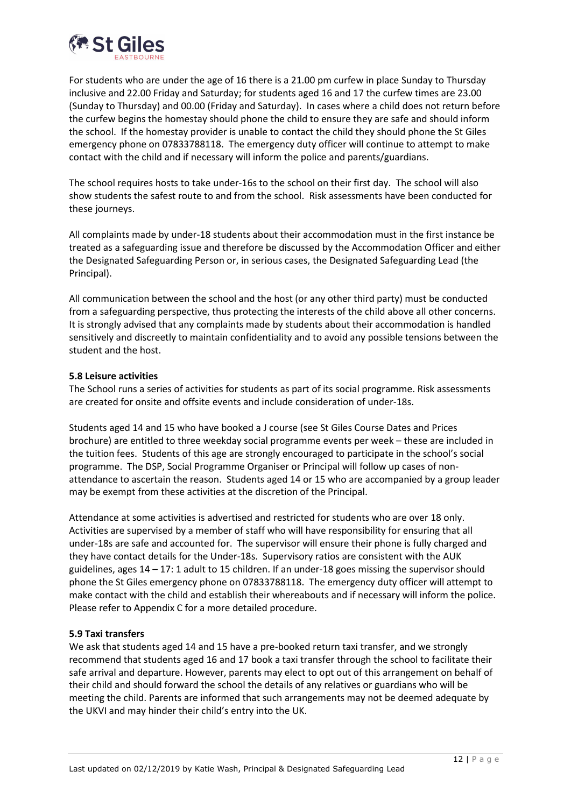

For students who are under the age of 16 there is a 21.00 pm curfew in place Sunday to Thursday inclusive and 22.00 Friday and Saturday; for students aged 16 and 17 the curfew times are 23.00 (Sunday to Thursday) and 00.00 (Friday and Saturday). In cases where a child does not return before the curfew begins the homestay should phone the child to ensure they are safe and should inform the school. If the homestay provider is unable to contact the child they should phone the St Giles emergency phone on 07833788118. The emergency duty officer will continue to attempt to make contact with the child and if necessary will inform the police and parents/guardians.

The school requires hosts to take under-16s to the school on their first day. The school will also show students the safest route to and from the school. Risk assessments have been conducted for these journeys.

All complaints made by under-18 students about their accommodation must in the first instance be treated as a safeguarding issue and therefore be discussed by the Accommodation Officer and either the Designated Safeguarding Person or, in serious cases, the Designated Safeguarding Lead (the Principal).

All communication between the school and the host (or any other third party) must be conducted from a safeguarding perspective, thus protecting the interests of the child above all other concerns. It is strongly advised that any complaints made by students about their accommodation is handled sensitively and discreetly to maintain confidentiality and to avoid any possible tensions between the student and the host.

#### <span id="page-11-0"></span>**5.8 Leisure activities**

The School runs a series of activities for students as part of its social programme. Risk assessments are created for onsite and offsite events and include consideration of under-18s.

Students aged 14 and 15 who have booked a J course (see St Giles Course Dates and Prices brochure) are entitled to three weekday social programme events per week – these are included in the tuition fees. Students of this age are strongly encouraged to participate in the school's social programme. The DSP, Social Programme Organiser or Principal will follow up cases of nonattendance to ascertain the reason. Students aged 14 or 15 who are accompanied by a group leader may be exempt from these activities at the discretion of the Principal.

Attendance at some activities is advertised and restricted for students who are over 18 only. Activities are supervised by a member of staff who will have responsibility for ensuring that all under-18s are safe and accounted for. The supervisor will ensure their phone is fully charged and they have contact details for the Under-18s. Supervisory ratios are consistent with the AUK guidelines, ages 14 – 17: 1 adult to 15 children. If an under-18 goes missing the supervisor should phone the St Giles emergency phone on 07833788118. The emergency duty officer will attempt to make contact with the child and establish their whereabouts and if necessary will inform the police. Please refer to Appendix C for a more detailed procedure.

#### <span id="page-11-1"></span>**5.9 Taxi transfers**

We ask that students aged 14 and 15 have a pre-booked return taxi transfer, and we strongly recommend that students aged 16 and 17 book a taxi transfer through the school to facilitate their safe arrival and departure. However, parents may elect to opt out of this arrangement on behalf of their child and should forward the school the details of any relatives or guardians who will be meeting the child. Parents are informed that such arrangements may not be deemed adequate by the UKVI and may hinder their child's entry into the UK.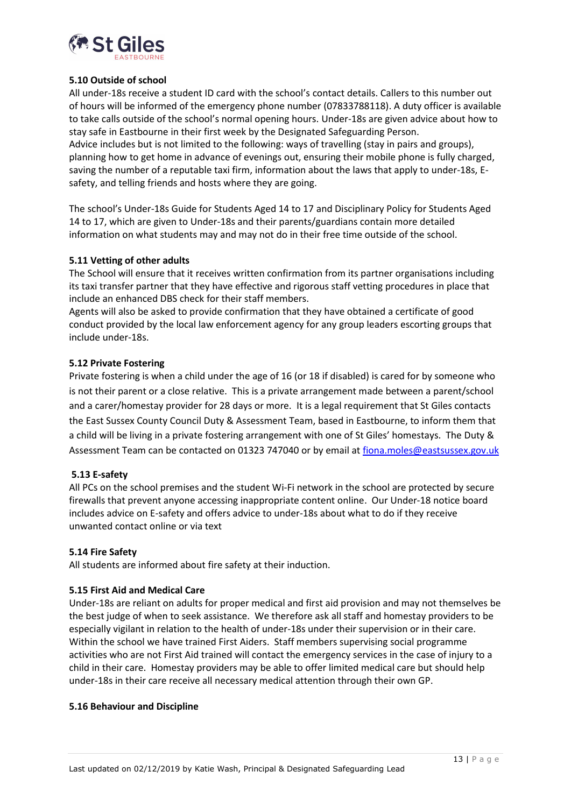

#### <span id="page-12-0"></span>**5.10 Outside of school**

All under-18s receive a student ID card with the school's contact details. Callers to this number out of hours will be informed of the emergency phone number (07833788118). A duty officer is available to take calls outside of the school's normal opening hours. Under-18s are given advice about how to stay safe in Eastbourne in their first week by the Designated Safeguarding Person. Advice includes but is not limited to the following: ways of travelling (stay in pairs and groups), planning how to get home in advance of evenings out, ensuring their mobile phone is fully charged, saving the number of a reputable taxi firm, information about the laws that apply to under-18s, Esafety, and telling friends and hosts where they are going.

The school's Under-18s Guide for Students Aged 14 to 17 and Disciplinary Policy for Students Aged 14 to 17, which are given to Under-18s and their parents/guardians contain more detailed information on what students may and may not do in their free time outside of the school.

#### <span id="page-12-1"></span>**5.11 Vetting of other adults**

The School will ensure that it receives written confirmation from its partner organisations including its taxi transfer partner that they have effective and rigorous staff vetting procedures in place that include an enhanced DBS check for their staff members.

Agents will also be asked to provide confirmation that they have obtained a certificate of good conduct provided by the local law enforcement agency for any group leaders escorting groups that include under-18s.

#### **5.12 Private Fostering**

Private fostering is when a child under the age of 16 (or 18 if disabled) is cared for by someone who is not their parent or a close relative. This is a private arrangement made between a parent/school and a carer/homestay provider for 28 days or more. It is a legal requirement that St Giles contacts the East Sussex County Council Duty & Assessment Team, based in Eastbourne, to inform them that a child will be living in a private fostering arrangement with one of St Giles' homestays. The Duty & Assessment Team can be contacted on 01323 747040 or by email at [fiona.moles@eastsussex.gov.uk](mailto:fiona.moles@eastsussex.gov.uk)

#### **5.13 E-safety**

All PCs on the school premises and the student Wi-Fi network in the school are protected by secure firewalls that prevent anyone accessing inappropriate content online. Our Under-18 notice board includes advice on E-safety and offers advice to under-18s about what to do if they receive unwanted contact online or via text

#### **5.14 Fire Safety**

All students are informed about fire safety at their induction.

#### **5.15 First Aid and Medical Care**

Under-18s are reliant on adults for proper medical and first aid provision and may not themselves be the best judge of when to seek assistance. We therefore ask all staff and homestay providers to be especially vigilant in relation to the health of under-18s under their supervision or in their care. Within the school we have trained First Aiders. Staff members supervising social programme activities who are not First Aid trained will contact the emergency services in the case of injury to a child in their care. Homestay providers may be able to offer limited medical care but should help under-18s in their care receive all necessary medical attention through their own GP.

#### **5.16 Behaviour and Discipline**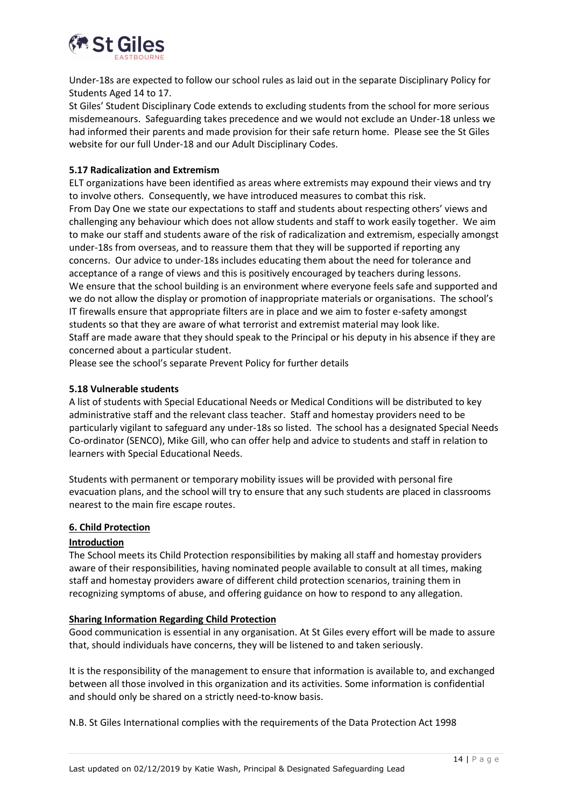

Under-18s are expected to follow our school rules as laid out in the separate Disciplinary Policy for Students Aged 14 to 17.

St Giles' Student Disciplinary Code extends to excluding students from the school for more serious misdemeanours. Safeguarding takes precedence and we would not exclude an Under-18 unless we had informed their parents and made provision for their safe return home. Please see the St Giles website for our full Under-18 and our Adult Disciplinary Codes.

#### **5.17 Radicalization and Extremism**

ELT organizations have been identified as areas where extremists may expound their views and try to involve others. Consequently, we have introduced measures to combat this risk. From Day One we state our expectations to staff and students about respecting others' views and challenging any behaviour which does not allow students and staff to work easily together. We aim to make our staff and students aware of the risk of radicalization and extremism, especially amongst under-18s from overseas, and to reassure them that they will be supported if reporting any concerns. Our advice to under-18s includes educating them about the need for tolerance and acceptance of a range of views and this is positively encouraged by teachers during lessons. We ensure that the school building is an environment where everyone feels safe and supported and we do not allow the display or promotion of inappropriate materials or organisations. The school's IT firewalls ensure that appropriate filters are in place and we aim to foster e-safety amongst students so that they are aware of what terrorist and extremist material may look like. Staff are made aware that they should speak to the Principal or his deputy in his absence if they are concerned about a particular student.

Please see the school's separate Prevent Policy for further details

#### **5.18 Vulnerable students**

A list of students with Special Educational Needs or Medical Conditions will be distributed to key administrative staff and the relevant class teacher. Staff and homestay providers need to be particularly vigilant to safeguard any under-18s so listed. The school has a designated Special Needs Co-ordinator (SENCO), Mike Gill, who can offer help and advice to students and staff in relation to learners with Special Educational Needs.

Students with permanent or temporary mobility issues will be provided with personal fire evacuation plans, and the school will try to ensure that any such students are placed in classrooms nearest to the main fire escape routes.

#### <span id="page-13-0"></span>**6. Child Protection**

#### **Introduction**

The School meets its Child Protection responsibilities by making all staff and homestay providers aware of their responsibilities, having nominated people available to consult at all times, making staff and homestay providers aware of different child protection scenarios, training them in recognizing symptoms of abuse, and offering guidance on how to respond to any allegation.

#### **Sharing Information Regarding Child Protection**

Good communication is essential in any organisation. At St Giles every effort will be made to assure that, should individuals have concerns, they will be listened to and taken seriously.

It is the responsibility of the management to ensure that information is available to, and exchanged between all those involved in this organization and its activities. Some information is confidential and should only be shared on a strictly need-to-know basis.

N.B. St Giles International complies with the requirements of the Data Protection Act 1998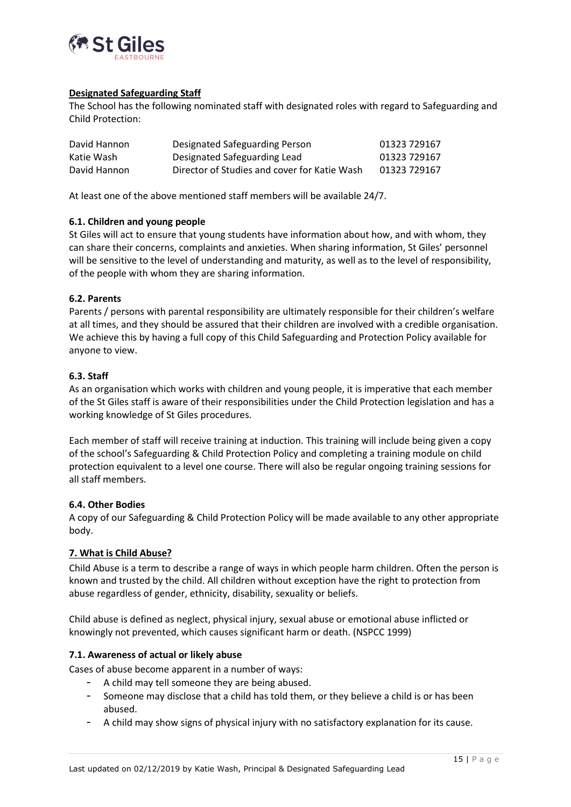

#### <span id="page-14-0"></span>**Designated Safeguarding Staff**

The School has the following nominated staff with designated roles with regard to Safeguarding and Child Protection:

| David Hannon | Designated Safeguarding Person               | 01323 729167 |
|--------------|----------------------------------------------|--------------|
| Katie Wash   | Designated Safeguarding Lead                 | 01323 729167 |
| David Hannon | Director of Studies and cover for Katie Wash | 01323 729167 |

At least one of the above mentioned staff members will be available 24/7.

#### **6.1. Children and young people**

St Giles will act to ensure that young students have information about how, and with whom, they can share their concerns, complaints and anxieties. When sharing information, St Giles' personnel will be sensitive to the level of understanding and maturity, as well as to the level of responsibility, of the people with whom they are sharing information.

#### <span id="page-14-1"></span>**6.2. Parents**

Parents / persons with parental responsibility are ultimately responsible for their children's welfare at all times, and they should be assured that their children are involved with a credible organisation. We achieve this by having a full copy of this Child Safeguarding and Protection Policy available for anyone to view.

#### <span id="page-14-2"></span>**6.3. Staff**

As an organisation which works with children and young people, it is imperative that each member of the St Giles staff is aware of their responsibilities under the Child Protection legislation and has a working knowledge of St Giles procedures.

Each member of staff will receive training at induction. This training will include being given a copy of the school's Safeguarding & Child Protection Policy and completing a training module on child protection equivalent to a level one course. There will also be regular ongoing training sessions for all staff members.

#### <span id="page-14-3"></span>**6.4. Other Bodies**

A copy of our Safeguarding & Child Protection Policy will be made available to any other appropriate body.

## <span id="page-14-4"></span>**7. What is Child Abuse?**

Child Abuse is a term to describe a range of ways in which people harm children. Often the person is known and trusted by the child. All children without exception have the right to protection from abuse regardless of gender, ethnicity, disability, sexuality or beliefs.

Child abuse is defined as neglect, physical injury, sexual abuse or emotional abuse inflicted or knowingly not prevented, which causes significant harm or death. (NSPCC 1999)

#### <span id="page-14-5"></span>**7.1. Awareness of actual or likely abuse**

Cases of abuse become apparent in a number of ways:

- A child may tell someone they are being abused.
- Someone may disclose that a child has told them, or they believe a child is or has been abused.
- A child may show signs of physical injury with no satisfactory explanation for its cause.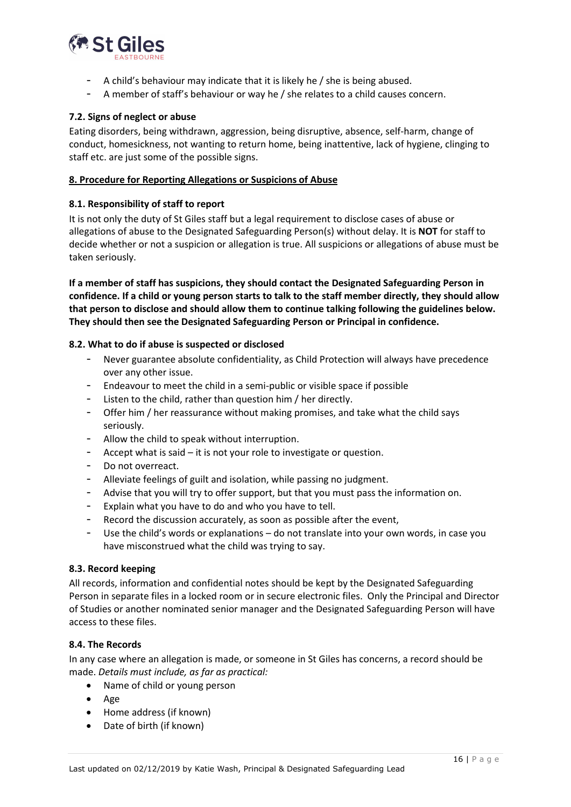

- A child's behaviour may indicate that it is likely he / she is being abused.
- A member of staff's behaviour or way he / she relates to a child causes concern.

#### <span id="page-15-0"></span>**7.2. Signs of neglect or abuse**

Eating disorders, being withdrawn, aggression, being disruptive, absence, self-harm, change of conduct, homesickness, not wanting to return home, being inattentive, lack of hygiene, clinging to staff etc. are just some of the possible signs.

#### <span id="page-15-1"></span>**8. Procedure for Reporting Allegations or Suspicions of Abuse**

#### <span id="page-15-2"></span>**8.1. Responsibility of staff to report**

It is not only the duty of St Giles staff but a legal requirement to disclose cases of abuse or allegations of abuse to the Designated Safeguarding Person(s) without delay. It is **NOT** for staff to decide whether or not a suspicion or allegation is true. All suspicions or allegations of abuse must be taken seriously.

**If a member of staff has suspicions, they should contact the Designated Safeguarding Person in confidence. If a child or young person starts to talk to the staff member directly, they should allow that person to disclose and should allow them to continue talking following the guidelines below. They should then see the Designated Safeguarding Person or Principal in confidence.**

#### <span id="page-15-3"></span>**8.2. What to do if abuse is suspected or disclosed**

- Never guarantee absolute confidentiality, as Child Protection will always have precedence over any other issue.
- Endeavour to meet the child in a semi-public or visible space if possible
- Listen to the child, rather than question him / her directly.
- Offer him / her reassurance without making promises, and take what the child says seriously.
- Allow the child to speak without interruption.
- Accept what is said  $-$  it is not your role to investigate or question.
- Do not overreact.
- Alleviate feelings of guilt and isolation, while passing no judgment.
- Advise that you will try to offer support, but that you must pass the information on.
- Explain what you have to do and who you have to tell.
- Record the discussion accurately, as soon as possible after the event,
- Use the child's words or explanations do not translate into your own words, in case you have misconstrued what the child was trying to say.

#### <span id="page-15-4"></span>**8.3. Record keeping**

All records, information and confidential notes should be kept by the Designated Safeguarding Person in separate files in a locked room or in secure electronic files. Only the Principal and Director of Studies or another nominated senior manager and the Designated Safeguarding Person will have access to these files.

#### <span id="page-15-5"></span>**8.4. The Records**

In any case where an allegation is made, or someone in St Giles has concerns, a record should be made. *Details must include, as far as practical:*

- Name of child or young person
- Age
- Home address (if known)
- Date of birth (if known)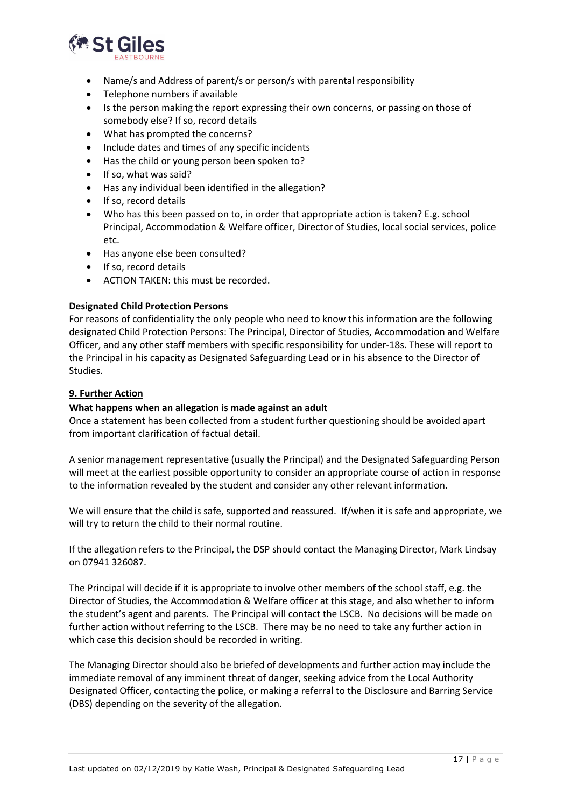

- Name/s and Address of parent/s or person/s with parental responsibility
- Telephone numbers if available
- Is the person making the report expressing their own concerns, or passing on those of somebody else? If so, record details
- What has prompted the concerns?
- Include dates and times of any specific incidents
- Has the child or young person been spoken to?
- If so, what was said?
- Has any individual been identified in the allegation?
- If so, record details
- Who has this been passed on to, in order that appropriate action is taken? E.g. school Principal, Accommodation & Welfare officer, Director of Studies, local social services, police etc.
- Has anyone else been consulted?
- If so, record details
- ACTION TAKEN: this must be recorded.

#### **Designated Child Protection Persons**

For reasons of confidentiality the only people who need to know this information are the following designated Child Protection Persons: The Principal, Director of Studies, Accommodation and Welfare Officer, and any other staff members with specific responsibility for under-18s. These will report to the Principal in his capacity as Designated Safeguarding Lead or in his absence to the Director of Studies.

#### <span id="page-16-0"></span>**9. Further Action**

#### **What happens when an allegation is made against an adult**

Once a statement has been collected from a student further questioning should be avoided apart from important clarification of factual detail.

A senior management representative (usually the Principal) and the Designated Safeguarding Person will meet at the earliest possible opportunity to consider an appropriate course of action in response to the information revealed by the student and consider any other relevant information.

We will ensure that the child is safe, supported and reassured. If/when it is safe and appropriate, we will try to return the child to their normal routine.

If the allegation refers to the Principal, the DSP should contact the Managing Director, Mark Lindsay on 07941 326087.

The Principal will decide if it is appropriate to involve other members of the school staff, e.g. the Director of Studies, the Accommodation & Welfare officer at this stage, and also whether to inform the student's agent and parents. The Principal will contact the LSCB. No decisions will be made on further action without referring to the LSCB. There may be no need to take any further action in which case this decision should be recorded in writing.

The Managing Director should also be briefed of developments and further action may include the immediate removal of any imminent threat of danger, seeking advice from the Local Authority Designated Officer, contacting the police, or making a referral to the Disclosure and Barring Service (DBS) depending on the severity of the allegation.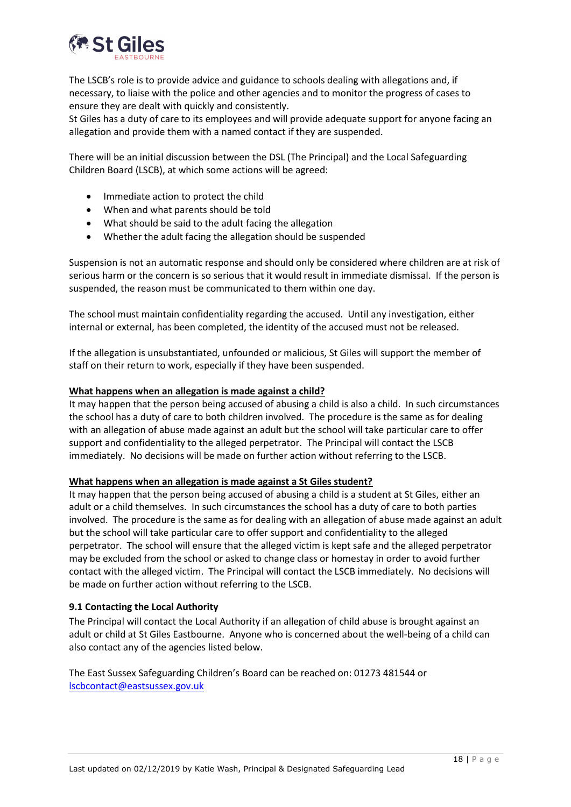

The LSCB's role is to provide advice and guidance to schools dealing with allegations and, if necessary, to liaise with the police and other agencies and to monitor the progress of cases to ensure they are dealt with quickly and consistently.

St Giles has a duty of care to its employees and will provide adequate support for anyone facing an allegation and provide them with a named contact if they are suspended.

There will be an initial discussion between the DSL (The Principal) and the Local Safeguarding Children Board (LSCB), at which some actions will be agreed:

- Immediate action to protect the child
- When and what parents should be told
- What should be said to the adult facing the allegation
- Whether the adult facing the allegation should be suspended

Suspension is not an automatic response and should only be considered where children are at risk of serious harm or the concern is so serious that it would result in immediate dismissal. If the person is suspended, the reason must be communicated to them within one day.

The school must maintain confidentiality regarding the accused. Until any investigation, either internal or external, has been completed, the identity of the accused must not be released.

If the allegation is unsubstantiated, unfounded or malicious, St Giles will support the member of staff on their return to work, especially if they have been suspended.

#### <span id="page-17-0"></span>**What happens when an allegation is made against a child?**

It may happen that the person being accused of abusing a child is also a child. In such circumstances the school has a duty of care to both children involved. The procedure is the same as for dealing with an allegation of abuse made against an adult but the school will take particular care to offer support and confidentiality to the alleged perpetrator. The Principal will contact the LSCB immediately. No decisions will be made on further action without referring to the LSCB.

#### **What happens when an allegation is made against a St Giles student?**

It may happen that the person being accused of abusing a child is a student at St Giles, either an adult or a child themselves. In such circumstances the school has a duty of care to both parties involved. The procedure is the same as for dealing with an allegation of abuse made against an adult but the school will take particular care to offer support and confidentiality to the alleged perpetrator. The school will ensure that the alleged victim is kept safe and the alleged perpetrator may be excluded from the school or asked to change class or homestay in order to avoid further contact with the alleged victim. The Principal will contact the LSCB immediately. No decisions will be made on further action without referring to the LSCB.

#### **9.1 Contacting the Local Authority**

The Principal will contact the Local Authority if an allegation of child abuse is brought against an adult or child at St Giles Eastbourne. Anyone who is concerned about the well-being of a child can also contact any of the agencies listed below.

The East Sussex Safeguarding Children's Board can be reached on: 01273 481544 or [lscbcontact@eastsussex.gov.uk](mailto:lscbcontact@eastsussex.gov.uk)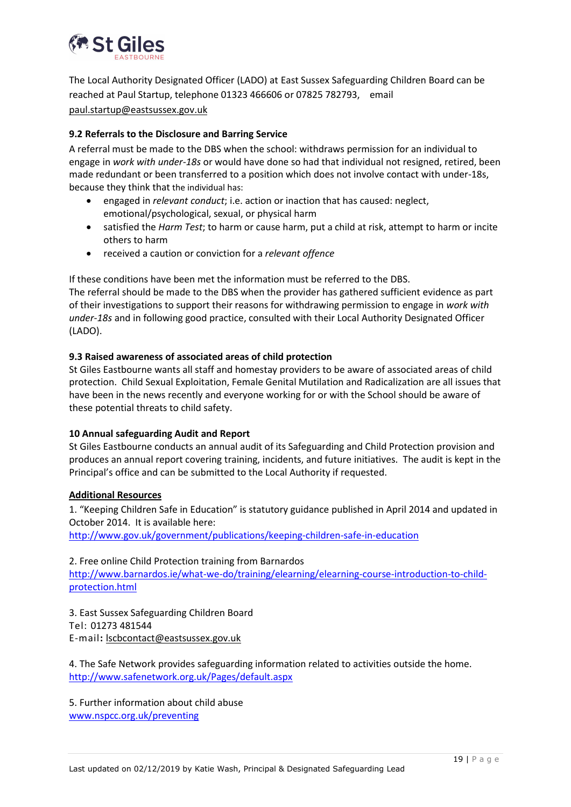

The Local Authority Designated Officer (LADO) at East Sussex Safeguarding Children Board can be reached at Paul Startup, telephone 01323 466606 or 07825 782793, email [paul.startup@eastsussex.gov.uk](mailto:paul.startup@eastsussex.gov.uk)

#### <span id="page-18-0"></span>**9.2 Referrals to the Disclosure and Barring Service**

A referral must be made to the DBS when the school: withdraws permission for an individual to engage in *work with under-18s* or would have done so had that individual not resigned, retired, been made redundant or been transferred to a position which does not involve contact with under-18s, because they think that the individual has:

- engaged in *relevant conduct*; i.e. action or inaction that has caused: neglect, emotional/psychological, sexual, or physical harm
- satisfied the *Harm Test*; to harm or cause harm, put a child at risk, attempt to harm or incite others to harm
- received a caution or conviction for a *relevant offence*

If these conditions have been met the information must be referred to the DBS. The referral should be made to the DBS when the provider has gathered sufficient evidence as part of their investigations to support their reasons for withdrawing permission to engage in *work with under-18s* and in following good practice, consulted with their Local Authority Designated Officer (LADO).

#### **9.3 Raised awareness of associated areas of child protection**

St Giles Eastbourne wants all staff and homestay providers to be aware of associated areas of child protection. Child Sexual Exploitation, Female Genital Mutilation and Radicalization are all issues that have been in the news recently and everyone working for or with the School should be aware of these potential threats to child safety.

#### **10 Annual safeguarding Audit and Report**

St Giles Eastbourne conducts an annual audit of its Safeguarding and Child Protection provision and produces an annual report covering training, incidents, and future initiatives. The audit is kept in the Principal's office and can be submitted to the Local Authority if requested.

#### <span id="page-18-1"></span>**Additional Resources**

1. "Keeping Children Safe in Education" is statutory guidance published in April 2014 and updated in October 2014. It is available here:

<http://www.gov.uk/government/publications/keeping-children-safe-in-education>

# 2. Free online Child Protection training from Barnardos [http://www.barnardos.ie/what-we-do/training/elearning/elearning-course-introduction-to-child](http://www.barnardos.ie/what-we-do/training/elearning/elearning-course-introduction-to-child-protection.html)[protection.html](http://www.barnardos.ie/what-we-do/training/elearning/elearning-course-introduction-to-child-protection.html)

3. East Sussex Safeguarding Children Board Tel: 01273 481544 E-mail**:** [lscbcontact@eastsussex.gov.uk](mailto:lscbcontact@eastsussex.gov.uk)

4. The Safe Network provides safeguarding information related to activities outside the home. <http://www.safenetwork.org.uk/Pages/default.aspx>

5. Further information about child abuse [www.nspcc.org.uk/preventing](http://www.nspcc.org.uk/preventing)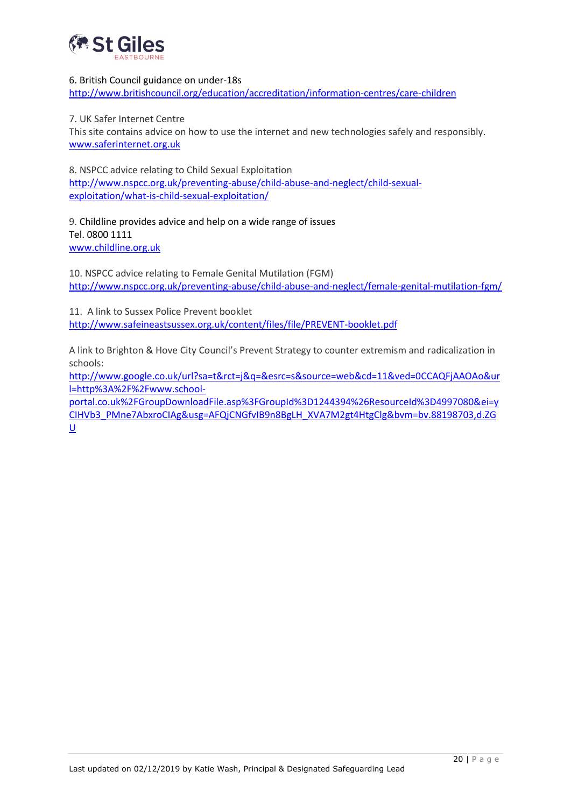

#### 6. British Council guidance on under-18s

<http://www.britishcouncil.org/education/accreditation/information-centres/care-children>

#### 7. UK Safer Internet Centre

This site contains advice on how to use the internet and new technologies safely and responsibly. [www.saferinternet.org.uk](http://www.saferinternet.org.uk/)

8. NSPCC advice relating to Child Sexual Exploitation [http://www.nspcc.org.uk/preventing-abuse/child-abuse-and-neglect/child-sexual](http://www.nspcc.org.uk/preventing-abuse/child-abuse-and-neglect/child-sexual-exploitation/what-is-child-sexual-exploitation/)[exploitation/what-is-child-sexual-exploitation/](http://www.nspcc.org.uk/preventing-abuse/child-abuse-and-neglect/child-sexual-exploitation/what-is-child-sexual-exploitation/)

#### 9. Childline provides advice and help on a wide range of issues Tel. 0800 1111 [www.childline.org.uk](file://///S8KEBFS003/Personal$/john.sutherland/My%20Videos/My%20Documents%20recovered%20Nov%202005/Under-18s/Child%20Protection%20&%20Safeguarding/Child%20protection%20Policy/www.childline.org.uk)

10. NSPCC advice relating to Female Genital Mutilation (FGM) <http://www.nspcc.org.uk/preventing-abuse/child-abuse-and-neglect/female-genital-mutilation-fgm/>

11. A link to Sussex Police Prevent booklet <http://www.safeineastsussex.org.uk/content/files/file/PREVENT-booklet.pdf>

A link to Brighton & Hove City Council's Prevent Strategy to counter extremism and radicalization in schools:

[http://www.google.co.uk/url?sa=t&rct=j&q=&esrc=s&source=web&cd=11&ved=0CCAQFjAAOAo&ur](http://www.google.co.uk/url?sa=t&rct=j&q=&esrc=s&source=web&cd=11&ved=0CCAQFjAAOAo&url=http%3A%2F%2Fwww.school-portal.co.uk%2FGroupDownloadFile.asp%3FGroupId%3D1244394%26ResourceId%3D4997080&ei=yCIHVb3_PMne7AbxroCIAg&usg=AFQjCNGfvIB9n8BgLH_XVA7M2gt4HtgClg&bvm=bv.88198703,d.ZGU) [l=http%3A%2F%2Fwww.school-](http://www.google.co.uk/url?sa=t&rct=j&q=&esrc=s&source=web&cd=11&ved=0CCAQFjAAOAo&url=http%3A%2F%2Fwww.school-portal.co.uk%2FGroupDownloadFile.asp%3FGroupId%3D1244394%26ResourceId%3D4997080&ei=yCIHVb3_PMne7AbxroCIAg&usg=AFQjCNGfvIB9n8BgLH_XVA7M2gt4HtgClg&bvm=bv.88198703,d.ZGU)

[portal.co.uk%2FGroupDownloadFile.asp%3FGroupId%3D1244394%26ResourceId%3D4997080&ei=y](http://www.google.co.uk/url?sa=t&rct=j&q=&esrc=s&source=web&cd=11&ved=0CCAQFjAAOAo&url=http%3A%2F%2Fwww.school-portal.co.uk%2FGroupDownloadFile.asp%3FGroupId%3D1244394%26ResourceId%3D4997080&ei=yCIHVb3_PMne7AbxroCIAg&usg=AFQjCNGfvIB9n8BgLH_XVA7M2gt4HtgClg&bvm=bv.88198703,d.ZGU) [CIHVb3\\_PMne7AbxroCIAg&usg=AFQjCNGfvIB9n8BgLH\\_XVA7M2gt4HtgClg&bvm=bv.88198703,d.ZG](http://www.google.co.uk/url?sa=t&rct=j&q=&esrc=s&source=web&cd=11&ved=0CCAQFjAAOAo&url=http%3A%2F%2Fwww.school-portal.co.uk%2FGroupDownloadFile.asp%3FGroupId%3D1244394%26ResourceId%3D4997080&ei=yCIHVb3_PMne7AbxroCIAg&usg=AFQjCNGfvIB9n8BgLH_XVA7M2gt4HtgClg&bvm=bv.88198703,d.ZGU) [U](http://www.google.co.uk/url?sa=t&rct=j&q=&esrc=s&source=web&cd=11&ved=0CCAQFjAAOAo&url=http%3A%2F%2Fwww.school-portal.co.uk%2FGroupDownloadFile.asp%3FGroupId%3D1244394%26ResourceId%3D4997080&ei=yCIHVb3_PMne7AbxroCIAg&usg=AFQjCNGfvIB9n8BgLH_XVA7M2gt4HtgClg&bvm=bv.88198703,d.ZGU)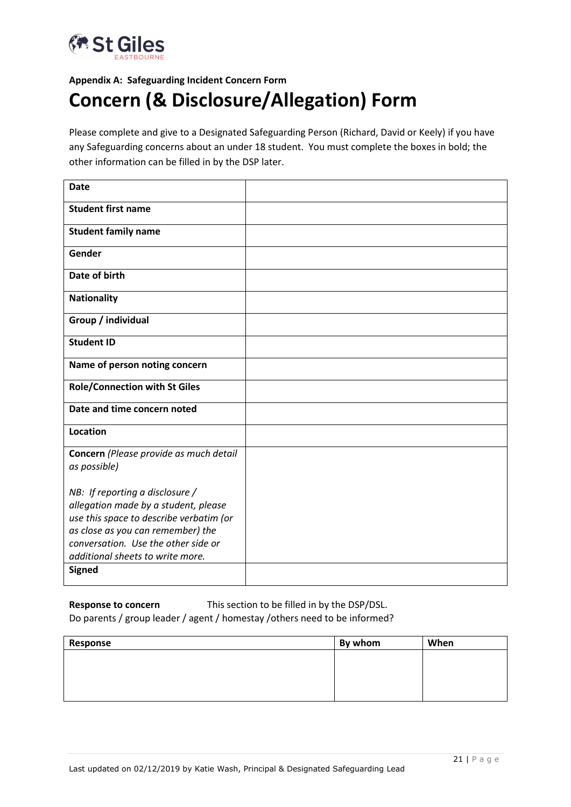

# **Appendix A: Safeguarding Incident Concern Form Concern (& Disclosure/Allegation) Form**

Please complete and give to a Designated Safeguarding Person (Richard, David or Keely) if you have any Safeguarding concerns about an under 18 student. You must complete the boxes in bold; the other information can be filled in by the DSP later.

| <b>Date</b>                                                              |  |
|--------------------------------------------------------------------------|--|
| <b>Student first name</b>                                                |  |
| <b>Student family name</b>                                               |  |
| Gender                                                                   |  |
| Date of birth                                                            |  |
| <b>Nationality</b>                                                       |  |
| Group / individual                                                       |  |
| <b>Student ID</b>                                                        |  |
| Name of person noting concern                                            |  |
| <b>Role/Connection with St Giles</b>                                     |  |
| Date and time concern noted                                              |  |
| <b>Location</b>                                                          |  |
| Concern (Please provide as much detail<br>as possible)                   |  |
| NB: If reporting a disclosure $/$                                        |  |
| allegation made by a student, please                                     |  |
| use this space to describe verbatim (or                                  |  |
| as close as you can remember) the<br>conversation. Use the other side or |  |
| additional sheets to write more.                                         |  |
| <b>Signed</b>                                                            |  |

**Response to concern** This section to be filled in by the DSP/DSL. Do parents / group leader / agent / homestay /others need to be informed?

| Response | By whom | When |
|----------|---------|------|
|          |         |      |
|          |         |      |
|          |         |      |
|          |         |      |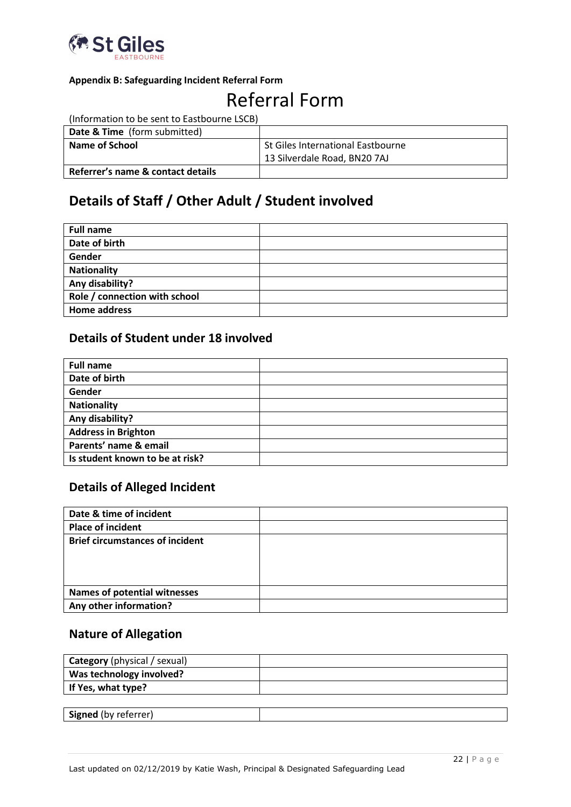

# **Appendix B: Safeguarding Incident Referral Form**

# Referral Form

(Information to be sent to Eastbourne LSCB)

| <b>Date &amp; Time</b> (form submitted) |                                   |
|-----------------------------------------|-----------------------------------|
| Name of School                          | St Giles International Eastbourne |
|                                         | 13 Silverdale Road, BN20 7AJ      |
| Referrer's name & contact details       |                                   |

# **Details of Staff / Other Adult / Student involved**

| <b>Full name</b>              |  |
|-------------------------------|--|
| Date of birth                 |  |
| Gender                        |  |
| <b>Nationality</b>            |  |
| Any disability?               |  |
| Role / connection with school |  |
| <b>Home address</b>           |  |

# **Details of Student under 18 involved**

| <b>Full name</b>                |  |
|---------------------------------|--|
| Date of birth                   |  |
| Gender                          |  |
| <b>Nationality</b>              |  |
| Any disability?                 |  |
| <b>Address in Brighton</b>      |  |
| Parents' name & email           |  |
| Is student known to be at risk? |  |

# **Details of Alleged Incident**

| Date & time of incident                |  |
|----------------------------------------|--|
| <b>Place of incident</b>               |  |
| <b>Brief circumstances of incident</b> |  |
|                                        |  |
|                                        |  |
|                                        |  |
| <b>Names of potential witnesses</b>    |  |
| Any other information?                 |  |

# **Nature of Allegation**

| <b>Category</b> (physical / sexual) |  |
|-------------------------------------|--|
| Was technology involved?            |  |
| If Yes, what type?                  |  |
|                                     |  |
| <b>Signed</b> (by referrer)         |  |